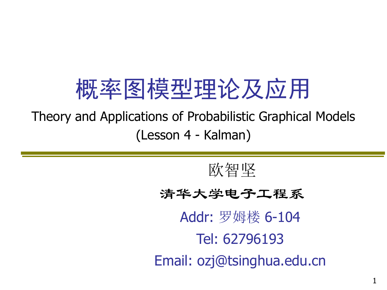# 概率图模型理论及应用

Theory and Applications of Probabilistic Graphical Models (Lesson 4 - Kalman)

欧智坚

清华大学电子工程系

Addr: 罗姆楼 6-104 Tel: 62796193 Email: ozj@tsinghua.edu.cn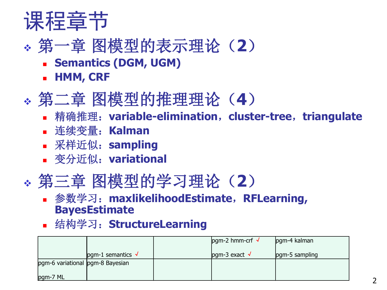

## 第一章 图模型的表示理论(**2**)

- **Example 3 Semantics (DGM, UGM)**
- **HMM, CRF**

## 第二章 图模型的推理理论(**4**)

- 精确推理:**variable-elimination**,**cluster-tree**,**triangulate**
- 连续变量:**Kalman**
- 采样近似:**sampling**
- 变分近似:**variational**

### 第三章 图模型的学习理论(**2**)

#### 参数学习:**maxlikelihoodEstimate**,**RFLearning, BayesEstimate**

结构学习:**StructureLearning**

|                                  |                           | $pgm-2$ hmm-crf $\sqrt{ }$ | pgm-4 kalman   |
|----------------------------------|---------------------------|----------------------------|----------------|
|                                  | pgm-1 semantics $\sqrt{}$ | $pgm-3 exact \sqrt{}$      | pgm-5 sampling |
| pgm-6 variational pgm-8 Bayesian |                           |                            |                |
| pgm-7 ML                         |                           |                            |                |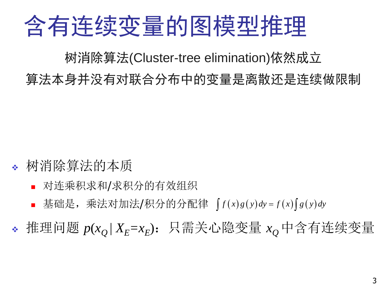# 含有连续变量的图模型推理

树消除算法(Cluster-tree elimination)依然成立

算法本身并没有对联合分布中的变量是离散还是连续做限制

- 树消除算法的本质
	- 对连乘积求和/求积分的有效组织
	- 基础是,乘法对加法/积分的分配律  $\int f(x)g(y)dy = f(x)\int g(y)dy$

 $\bullet$  推理问题  $p(x_Q | X_E = x_E)$ : 只需关心隐变量  $x_Q$ 中含有连续变量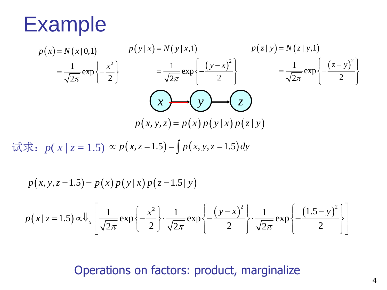

$$
p(x) = N(x|0,1)
$$
\n
$$
p(y|x) = N(y|x,1)
$$
\n
$$
= \frac{1}{\sqrt{2\pi}} \exp\left\{-\frac{x^2}{2}\right\}
$$
\n
$$
= \frac{1}{\sqrt{2\pi}} \exp\left\{-\frac{(y-x)^2}{2}\right\}
$$
\n
$$
= \frac{1}{\sqrt{2\pi}} \exp\left\{-\frac{(y-x)^2}{2}\right\}
$$
\n
$$
= \frac{1}{\sqrt{2\pi}} \exp\left\{-\frac{(z-y)^2}{2}\right\}
$$
\n
$$
p(x, y, z) = p(x)p(y|x)p(z|y)
$$

试求:  $p(x | z = 1.5) \propto p(x, z = 1.5) =$  $p(x, z = 1.5) = \int p(x, y, z = 1.5) dy$ 

$$
p(x, y, z = 1.5) = p(x) p(y|x) p(z = 1.5 | y)
$$
  

$$
p(x | z = 1.5) \propto \sqrt{\frac{1}{x} \left[ \frac{1}{\sqrt{2\pi}} \exp\left\{-\frac{x^2}{2}\right\} \cdot \frac{1}{\sqrt{2\pi}} \exp\left\{-\frac{(y - x)^2}{2}\right\} \cdot \frac{1}{\sqrt{2\pi}} \exp\left\{-\frac{(1.5 - y)^2}{2}\right\} \right]}
$$

Operations on factors: product, marginalize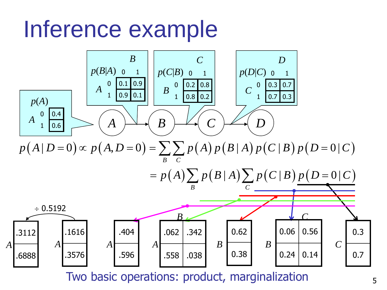# Inference example



Two basic operations: product, marginalization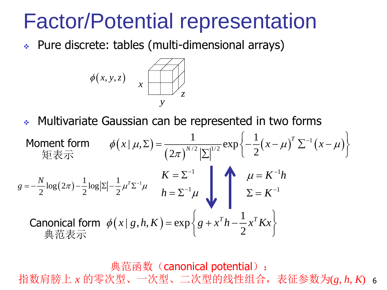## Factor/Potential representation

Pure discrete: tables (multi-dimensional arrays)



Multivariate Gaussian can be represented in two forms

• Multivariate Gaussian can be represented in two forms

\nMoment form

\n
$$
\phi(x | \mu, \Sigma) = \frac{1}{(2\pi)^{N/2} |\Sigma|^{1/2}} \exp\left\{-\frac{1}{2} (x - \mu)^T \Sigma^{-1} (x - \mu)\right\}
$$
\n
$$
g = -\frac{N}{2} \log(2\pi) - \frac{1}{2} \log |\Sigma| - \frac{1}{2} \mu^T \Sigma^{-1} \mu
$$
\n
$$
K = \Sigma^{-1}
$$
\nCa nonical form

\n
$$
\phi(x | g, h, K) = \exp\left\{g + x^T h - \frac{1}{2} x^T K x\right\}
$$
\n
$$
\text{#} \ddot{\mathcal{R}} \ddot{\mathcal{R}} \ddot{\mathcal{R}} \ddot{\mathcal{R}} \dot{\mathcal{R}} \dot{\mathcal{R}} \dot{\mathcal{R}} \dot{\mathcal{R}} \dot{\mathcal{R}} \dot{\mathcal{R}} \dot{\mathcal{R}} \dot{\mathcal{R}} \dot{\mathcal{R}} \dot{\mathcal{R}} \dot{\mathcal{R}} \dot{\mathcal{R}} \dot{\mathcal{R}} \dot{\mathcal{R}} \dot{\mathcal{R}} \dot{\mathcal{R}} \dot{\mathcal{R}} \dot{\mathcal{R}} \dot{\mathcal{R}} \dot{\mathcal{R}} \dot{\mathcal{R}} \dot{\mathcal{R}} \dot{\mathcal{R}} \dot{\mathcal{R}} \dot{\mathcal{R}} \dot{\mathcal{R}} \dot{\mathcal{R}} \dot{\mathcal{R}} \dot{\mathcal{R}} \dot{\mathcal{R}} \dot{\mathcal{R}} \dot{\mathcal{R}} \dot{\mathcal{R}} \dot{\mathcal{R}} \dot{\mathcal{R}} \dot{\mathcal{R}} \dot{\mathcal{R}} \dot{\mathcal{R}} \dot{\mathcal{R}} \dot{\mathcal{R}} \dot{\mathcal{R}} \dot{\mathcal{R}} \dot{\mathcal{R}} \dot{\mathcal{R}} \dot{\mathcal{R}} \dot{\mathcal{R}} \dot{\mathcal{R}} \dot{\mathcal{R}} \dot{\mathcal{R}} \dot{\mathcal{R}} \dot{\mathcal{R}} \dot{\mathcal{R}} \dot{\mathcal{R}} \dot{\mathcal{R}} \dot{\mathcal{R}} \dot{\mathcal{R}} \dot{\mathcal{R}} \dot{\mathcal{R}} \dot{\mathcal{R}} \dot{\mathcal{R}} \dot{\mathcal
$$

6 指数肩膀上 *x* 的零次型、一次型、二次型的线性组合,表征参数为(*g*, *h*, *K*) 典范函数 (canonical potential):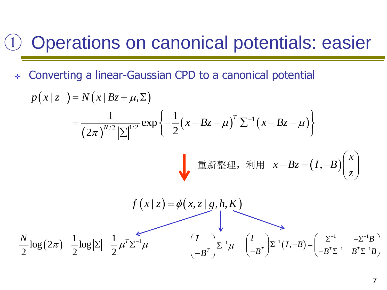## ① Operations on canonical potentials: easier

Converting a linear-Gaussian CPD to a canonical potential

$$
p(x|z) = N(x|Bz + \mu, \Sigma)
$$
  
\n
$$
= \frac{1}{(2\pi)^{N/2} |\Sigma|^{1/2}} exp\left\{-\frac{1}{2} (x - Bz - \mu)^T \Sigma^{-1} (x - Bz - \mu)\right\}
$$
  
\n
$$
\equiv \text{m} \cdot \text{m} \cdot \text{m} \cdot \text{m} \cdot \text{m} \cdot \text{m} \cdot \text{m} \cdot \text{m} \cdot \text{m}
$$
  
\n
$$
f(x|z) = \phi(x, z | g, h, K)
$$
  
\n
$$
-\frac{N}{2} log(2\pi) - \frac{1}{2} log |\Sigma| - \frac{1}{2} \mu^T \Sigma^{-1} \mu \qquad \left(\frac{I}{-B^T}\right) \Sigma^{-1} \mu \quad \left(\frac{I}{-B^T}\right) \Sigma^{-1} (I, -B) = \left(\frac{\Sigma^{-1}}{-B^T \Sigma^{-1} B^T \Sigma^{-1} B}\right)
$$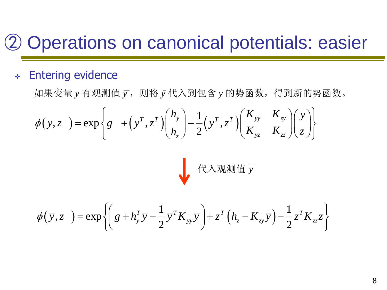## ② Operations on canonical potentials: easier

#### Entering evidence

如果变量 *y* 有观测值 *y* ,则将 *y* 代入到包含 *y* 的势函数,得到新的势函数。  $(y, z) = \exp\left\{g + \left(y^T, z^T\right)\right\}\Big|_L^{R_y} - \frac{1}{2}\left(y^T, z^T\right)$  $, z$  ) = exp  $\{g + |y, z| \}$  |  $-$  |  $y, z$ 2 *T T* **l** <sup>*y*</sup> *l**I**T T* **l** <sup>*T*</sup> *xy* <sup>*--xy*</sup> *yz zz <sup>z</sup>*  $h_y$  1  $T$   $T$  ( $K_{yy}$   $K_{zy}$  )  $(y$  $y, z$   $y = \exp\{g + (y, z) | z \mid -1 \}$  $h \left[ \begin{array}{c} 2 \end{array} \right]$   $2 \left[ \begin{array}{cc} 2 \end{array} \right]$   $K_{yz}$   $K_{zz}$   $\left[ \begin{array}{c} 2 \end{array} \right]$  $\phi$  $\begin{pmatrix} \frac{1}{T} & \frac{1}{T} \end{pmatrix} \begin{pmatrix} h_y \\ h_z \end{pmatrix} = \frac{1}{T} \begin{pmatrix} \frac{1}{T} & \frac{1}{T} \end{pmatrix} \begin{pmatrix} K_{yy} & K_{zy} \\ K_{zz} & K_{zz} \end{pmatrix} \begin{pmatrix} y \\ y \end{pmatrix}$  $=\exp\left\{g^{\frac{1}{2}}+\left(y^T,z^T\right)\left(\frac{y}{h_z}\right)-\frac{1}{2}\left(y^T,z^T\right)\left(\frac{yy}{K_{yz}}-\frac{zy}{K_{zz}}\right)\left(\frac{y}{z}\right)\right\}$ 代入观测值 *y*

$$
\phi(\bar{y}, z) = \exp\left\{ \left( g + h_y^T \bar{y} - \frac{1}{2} \bar{y}^T K_{yy} \bar{y} \right) + z^T \left( h_z - K_{zy} \bar{y} \right) - \frac{1}{2} z^T K_{zz} z \right\}
$$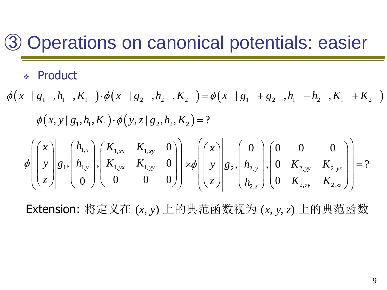## ③ Operations on canonical potentials: easier

### Product

$$
\phi(x \mid g_1, h_1, K_1) \cdot \phi(x \mid g_2, h_2, K_2) = \phi(x \mid g_1 + g_2, h_1 + h_2, K_1 + K_2)
$$
  
\n
$$
\phi(x, y \mid g_1, h_1, K_1) \cdot \phi(y, z \mid g_2, h_2, K_2) = ?
$$
  
\n
$$
\phi\left(\begin{pmatrix} x \\ y \\ z \end{pmatrix} \middle| g_1, \begin{pmatrix} h_{1,x} \\ h_{1,y} \end{pmatrix}, \begin{pmatrix} K_{1,xx} & K_{1,xy} & 0 \\ K_{1,yx} & K_{1,yy} & 0 \\ 0 & 0 & 0 \end{pmatrix} \middle| x\phi\left(\begin{pmatrix} x \\ y \\ z \end{pmatrix} \middle| g_2, \begin{pmatrix} 0 & 0 & 0 \\ h_{2,y} \end{pmatrix}, \begin{pmatrix} 0 & K_{2,yy} & K_{2,yz} \\ 0 & K_{2,zy} & K_{2,zz} \end{pmatrix} \right) = ?
$$

Extension: 将定义在  $(x, y)$  上的典范函数视为  $(x, y, z)$  上的典范函数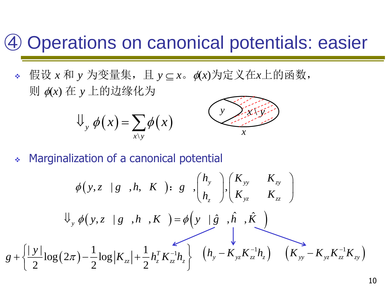### ④ Operations on canonical potentials: easier

◆ 假设 *x* 和 *y* 为变量集, 且 *y* ⊆ *x*。φ(*x*)为定义在*x*上的函数,  $\overline{y}$   $\phi(x)$  在  $y$  上的边缘化为

$$
\bigcup_{y} \phi(x) = \sum_{x \backslash y} \phi(x)
$$



Marginalization of a canonical potential

$$
\phi(y, z \mid g, h, K) : g \quad \binom{h_y}{h_z} \binom{K_{yy}}{K_{yz}} \quad \binom{K_{zy}}{K_{zz}} \\
\downarrow \psi(y, z \mid g, h, K) = \phi(y \mid \hat{g}, \hat{h}, \hat{K}) \\
\downarrow g + \left\{ \frac{|y|}{2} \log(2\pi) - \frac{1}{2} \log |K_{zz}| + \frac{1}{2} h_z^T K_{zz}^{-1} h_z \right\} \quad (h_y - K_{yz} K_{zz}^{-1} h_z) \quad (K_{yy} - K_{yz} K_{zz}^{-1} K_{zy})
$$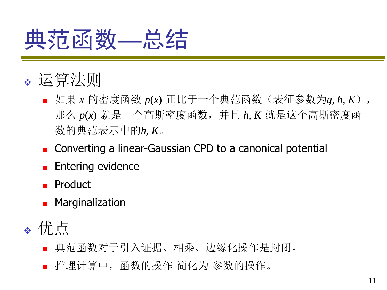# 典范函数—总结

### 运算法则

- 如果 <u>*x* 的密度函数 *p*(*x*)</u> 正比于一个典范函数(表征参数为*g, h, K*), 那么 *p*(*x*) 就是一个高斯密度函数,并且 *h, K* 就是这个高斯密度函 数的典范表示中的*h, K*。
- Converting a linear-Gaussian CPD to a canonical potential
- Entering evidence
- **Product**
- **Marginalization**
- 优点
	- 典范函数对于引入证据、相乘、边缘化操作是封闭。
	- 推理计算中,函数的操作 简化为 参数的操作。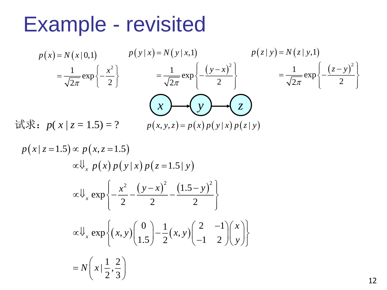## Example - revisited

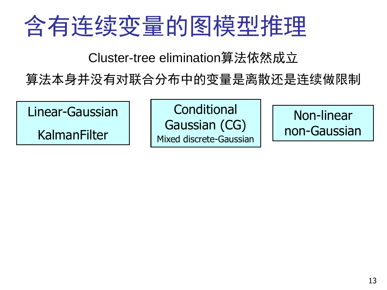# 含有连续变量的图模型推理

Cluster-tree elimination算法依然成立

算法本身并没有对联合分布中的变量是离散还是连续做限制

Linear-Gaussian

KalmanFilter

**Conditional** Gaussian (CG) Mixed discrete-Gaussian

Non-linear non-Gaussian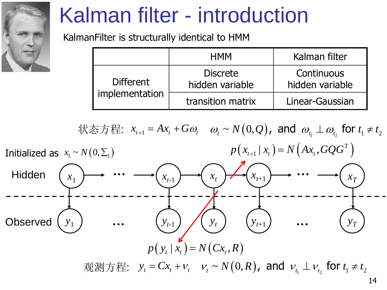

# Kalman filter - introduction

KalmanFilter is structurally identical to HMM

|                  | <b>HMM</b>                         | Kalman filter                 |
|------------------|------------------------------------|-------------------------------|
| <b>Different</b> | <b>Discrete</b><br>hidden variable | Continuous<br>hidden variable |
| implementation   | transition matrix                  | Linear-Gaussian               |

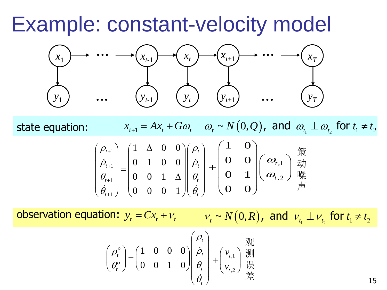Example: constant-velocity model



1 1 1 1  $1 \quad \Delta \quad 0 \quad 0$  $0 \t 1 \t 0 \t 0$  $\begin{array}{c} 0 \\ 0 \\ 0 \\ 1 \end{array}$  $0 \t 0 \t 1$  $\left( \begin{array}{ccc} 0 & 0 \end{array} \right) \left( \begin{array}{ccc} 1 & \Delta & 0 & 0 \end{array} \right) \left( \begin{array}{ccc} \rho_t \end{array} \right)$  $\left| \begin{array}{ccc} 1 \end{array} \right| = \left| \begin{array}{ccc} 0 & 1 & 0 & 0 \end{array} \right| \left| \begin{array}{ccc} \dot{\rho}_t \end{array} \right|$  $\theta_{t+1}$  | 0 0 1  $\Delta$  ||  $\theta_{t}$  $\theta_{t+1}$ )  $(0 \quad 0 \quad 0 \quad 1)$  $(\theta_t$  $\rho_{t+1}$   $\begin{pmatrix} 1 & \Delta & 0 & 0 \end{pmatrix} \begin{pmatrix} \rho_t \end{pmatrix}$  $\left\lceil \frac{\dot{P}_{t+1}}{\dot{\rho}_{t+1}}\right\rceil \left\lceil \left\lceil \frac{1}{0} \right\rceil \left\lceil \frac{1}{1} \right\rceil \left\lceil \frac{0}{0} \right\rceil \left\lceil \left\lceil \frac{\dot{P}_{t}}{\dot{\rho}_{t}}\right\rceil \right\rceil.$  $\begin{bmatrix} P_{t+1} \\ \theta_{t+1} \end{bmatrix} = \begin{bmatrix} 0 & 1 & 0 & 0 \\ 0 & 0 & 1 & \Delta \end{bmatrix} \begin{bmatrix} P_t \\ \theta_t \end{bmatrix}$  $\begin{pmatrix} \dot{\theta}_{t+1} \\ \dot{\theta}_{t+1} \end{pmatrix}$   $\begin{pmatrix} 0 & 0 & 1 & 1 \\ 0 & 0 & 0 & 1 \end{pmatrix} \begin{pmatrix} \dot{\theta}_{t} \\ \dot{\theta}_{t} \end{pmatrix}$  $^{+}$  $^{+}$  $^{+}$  $^{+}$  $(\rho_{t+1})$   $(1 \Delta 0 0)(\rho_t)$  $\begin{pmatrix} \rho_{t+1} \\ \dot{o} \end{pmatrix} \begin{pmatrix} 1 & \Delta & 0 & 0 \\ 0 & 1 & 0 & 0 \end{pmatrix} \begin{pmatrix} \rho_t \\ \dot{o} \end{pmatrix}$  $\left|\left|\frac{\dot{\rho}_{t+1}}{2}\right|\right| = \left|\begin{array}{ccc} 0 & 1 & 0 & 0 \ 0 & 0 & 1 & 0 \end{array}\right| \left|\left|\frac{\dot{\rho}_{t}}{2}\right|\right| + \left|\left|\frac{\dot{\rho}_{t}}{2}\right|\right|$  $\begin{bmatrix} P_{t+1} \\ \theta_{t+1} \end{bmatrix} = \begin{bmatrix} 0 & 1 & 0 & 0 \\ 0 & 0 & 1 & \Delta \end{bmatrix} \begin{bmatrix} P_t \\ \theta_t \end{bmatrix} + \begin{bmatrix} 0 & 0 & 0 \\ 0 & 0 & 1 & \Delta \end{bmatrix}$  $\begin{pmatrix} \rho_{t+1} \\ \dot{\rho}_{t+1} \\ \dot{\theta}_{t+1} \\ \dot{\theta}_{t+1} \end{pmatrix} = \begin{pmatrix} 1 & \Delta & 0 & 0 \\ 0 & 1 & 0 & 0 \\ 0 & 0 & 1 & \Delta \\ 0 & 0 & 0 & 1 \end{pmatrix} \begin{pmatrix} \rho_t \\ \dot{\rho}_t \\ \dot{\theta}_t \\ \dot{\theta}_t \end{pmatrix} + \begin{pmatrix} \rho_t \\ \dot{\rho}_t \\ \dot{\theta}_t \end{pmatrix}$  $x_{t+1} = Ax_{t} + G$  $+$   $G\omega$ <sub>t</sub>  $\omega$ <sub>t</sub>  $\sim$   $N(0,Q)$  , and  $\omega$ <sub>t<sub>1</sub>  $\perp$   $\omega$ <sub>t<sub>2</sub></sub> for  $t_1$   $\neq$   $t_2$ </sub> state equation: ,1 ,2 1 0 0 0 0 1 0 0 *t t*  $\omega$  $\omega$  $\begin{pmatrix} 1 & 0 \ 0 & 0 \end{pmatrix}$  $\begin{pmatrix} \omega_{t,1} \ \end{pmatrix} \frac{A}{Z}$  $+\left(\begin{matrix} 0 & 0 \ 0 & 1 \ 0 & 0 \end{matrix}\right)\left(\begin{matrix} \omega_{_{\!f,1}}\ \omega_{_{\!f,2}} \end{matrix}\right)\frac{1}{\tilde{F}}$ 策 动 噪 声

observation equation:  $y_t = Cx_t + v_t$   $v_t \sim N(0, R)$ , and  $v_{t_1} \perp v_{t_2}$  for  $t_1 \neq t_2$ 

$$
\begin{pmatrix} \rho_t^o \\ \theta_t^o \end{pmatrix} = \begin{pmatrix} 1 & 0 & 0 & 0 \\ 0 & 0 & 1 & 0 \end{pmatrix} \begin{pmatrix} \rho_t \\ \dot{\rho}_t \\ \dot{\theta}_t \end{pmatrix} + \begin{pmatrix} v_{t,1} \\ v_{t,2} \end{pmatrix} \stackrel{\text{W}}{\underset{\text{H}}{\mathbb{H}}} \\ \stackrel{\text{W}}{\mathbb{H}}
$$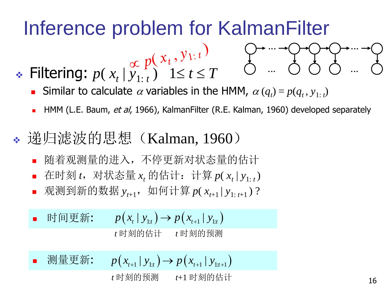## Inference problem for KalmanFilter

- ◆ Filtering:  $p(x_t | y_{1:t}^{\text{ref}})$  1≤  $t \leq T$ 
	- Similar to calculate  $\alpha$  variables in the HMM,  $\alpha(q_t) = p(q_t, y_{1:t})$
	- HMM (L.E. Baum, et al, 1966), KalmanFilter (R.E. Kalman, 1960) developed separately

...

...

- ◆ 递归滤波的思想 (Kalman, 1960)
	- 随着观测量的进入,不停更新对状态量的估计
	- 在时刻 *t*, 对状态量 *x*<sub>t</sub> 的估计: 计算 *p*( *x*<sub>t</sub> | y<sub>1: *t*</sub>)
	- $\mathcal{R}$ 测到新的数据  $y_{t+1}$ , 如何计算  $p(x_{t+1} | y_{1:t+1})$ ?

 时间更新: *<sup>p</sup> <sup>x</sup> <sup>y</sup> <sup>p</sup> <sup>x</sup> <sup>y</sup> <sup>t</sup> <sup>t</sup> <sup>t</sup> <sup>t</sup>* | | 1: <sup>1</sup> 1: *t* 时刻的估计 *t* 时刻的预测

 测量更新:  $p(x_{t+1} | y_{t+1}) \rightarrow p(x_{t+1} | y_{t+1})$ 

*t* 时刻的预测 *t*+1 时刻的估计

...

...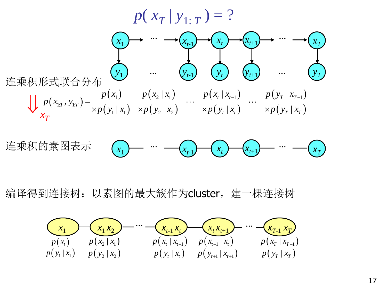



编译得到连接树: 以素图的最大簇作为cluster, 建一棵连接树

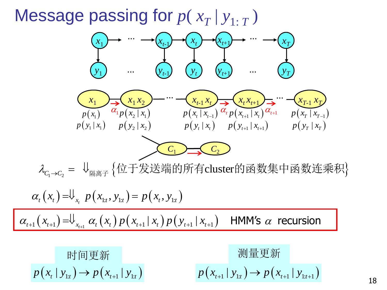## Message passing for  $p(x_T | y_{1:T})$

*C*<sup>1</sup> *C*<sup>2</sup> 1 2 cluster *C C* 隔离子 位于发送端的所有 的函数集中函数连乘积 1: 1: 1: , , *t t t x t t t t x p x y p x y* <sup>1</sup> *<sup>t</sup> <sup>t</sup>*<sup>1</sup> 1 1 1 1 1 1 | | *t t t x t t t t t t x x p x x p y x* HMM's recursion 时间更新 *p x y p x y t t t t* | | 1: 1 1: 测量更新 *<sup>p</sup> <sup>x</sup> <sup>y</sup> <sup>p</sup> <sup>x</sup> <sup>y</sup> <sup>t</sup> <sup>t</sup> <sup>t</sup> <sup>t</sup>* <sup>1</sup> 1: <sup>1</sup> 1: <sup>1</sup> | | *xT*-1 *xT* ... *p x x T T* | 1 *<sup>p</sup> <sup>y</sup> <sup>x</sup> <sup>T</sup> <sup>T</sup>* | *xt*-1 *x<sup>t</sup> x*1 *x*2 *x*1 ... *xt xt*+1 1 <sup>1</sup> <sup>1</sup> | *p <sup>x</sup> p y <sup>x</sup> <sup>p</sup> <sup>x</sup> <sup>x</sup>* <sup>2</sup> <sup>1</sup> | *<sup>p</sup> <sup>y</sup> <sup>x</sup>* <sup>2</sup> <sup>2</sup> | *p x x t t* | 1 *<sup>p</sup> <sup>y</sup> <sup>x</sup> <sup>t</sup> <sup>t</sup>* | *<sup>p</sup> <sup>x</sup> <sup>x</sup> <sup>t</sup> <sup>t</sup>* <sup>1</sup> | *<sup>p</sup> <sup>y</sup> <sup>x</sup> <sup>t</sup> <sup>t</sup>* <sup>1</sup> <sup>1</sup> | *x x*<sup>1</sup> *xt-*<sup>1</sup> *x<sup>t</sup> <sup>t</sup>*+1 *yt*+1 *y<sup>t</sup> yt-*<sup>1</sup> *y*1 ... ... *xT yT* ... ...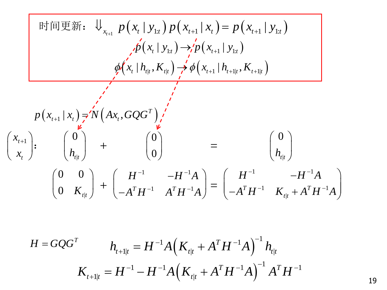$$
\text{H} \text{ in } \mathbb{F} \text{ in } \mathbb{F} \text{ in } \mathbb{F} \text{ in } \mathbb{F} \text{ in } \mathbb{F} \text{ in } \mathbb{F} \text{ in } \mathbb{F} \text{ in } \mathbb{F} \text{ in } \mathbb{F} \text{ in } \mathbb{F} \text{ in } \mathbb{F} \text{ in } \mathbb{F} \text{ in } \mathbb{F} \text{ in } \mathbb{F} \text{ in } \mathbb{F} \text{ in } \mathbb{F} \text{ in } \mathbb{F} \text{ in } \mathbb{F} \text{ in } \mathbb{F} \text{ in } \mathbb{F} \text{ in } \mathbb{F} \text{ in } \mathbb{F} \text{ in } \mathbb{F} \text{ in } \mathbb{F} \text{ in } \mathbb{F} \text{ in } \mathbb{F} \text{ in } \mathbb{F} \text{ in } \mathbb{F} \text{ in } \mathbb{F} \text{ in } \mathbb{F} \text{ in } \mathbb{F} \text{ in } \mathbb{F} \text{ in } \mathbb{F} \text{ in } \mathbb{F} \text{ in } \mathbb{F} \text{ in } \mathbb{F} \text{ in } \mathbb{F} \text{ in } \mathbb{F} \text{ in } \mathbb{F} \text{ in } \mathbb{F} \text{ in } \mathbb{F} \text{ in } \mathbb{F} \text{ in } \mathbb{F} \text{ in } \mathbb{F} \text{ in } \mathbb{F} \text{ in } \mathbb{F} \text{ in } \mathbb{F} \text{ in } \mathbb{F} \text{ in } \mathbb{F} \text{ in } \mathbb{F} \text{ in } \mathbb{F} \text{ in } \mathbb{F} \text{ in } \mathbb{F} \text{ in } \mathbb{F} \text{ in } \mathbb{F} \text{ in } \mathbb{F} \text{ in } \mathbb{F} \text{ in } \mathbb{F} \text{ in } \mathbb{F} \text{ in } \mathbb{F} \text{ in } \mathbb{F} \text{ in } \mathbb{F} \text{ in } \mathbb{F} \text{ in } \mathbb{F} \text{ in } \mathbb{F} \text{ in } \mathbb{F} \text{ in } \mathbb{F} \text{ in } \mathbb{F} \text{ in } \math
$$

$$
H = GQG^{T}
$$
  

$$
h_{t+1|t} = H^{-1}A(K_{t|t} + A^{T}H^{-1}A)^{-1}h_{t|t}
$$
  

$$
K_{t+1|t} = H^{-1} - H^{-1}A(K_{t|t} + A^{T}H^{-1}A)^{-1}A^{T}H^{-1}
$$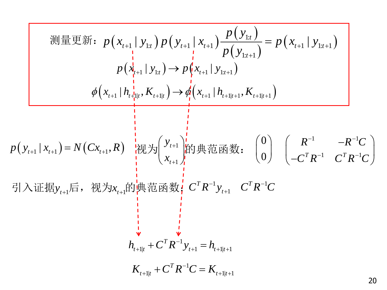W1: 
$$
p(x_{t+1} | y_{1:t}) p(y_{t+1} | x_{t+1}) \frac{p(y_{1:t})}{p(y_{1:t+1})} = p(x_{t+1} | y_{1:t+1})
$$

\n
$$
p(x_{t+1} | y_{1:t}) \rightarrow p(x_{t+1} | y_{1:t+1})
$$
\n
$$
\phi(x_{t+1} | h_{t+1:t}, K_{t+1:t}) \rightarrow \phi(x_{t+1} | h_{t+1:t+1}, K_{t+1:t+1})
$$
\nor

\n
$$
p(y_{t+1} | x_{t+1}) = N(Cx_{t+1}, R)
$$
\n
$$
m y_{t+1} \rightarrow \phi(x_{t+1})
$$
\n
$$
m y_{t+1} \rightarrow \phi(x_{t+1} | h_{t+1:t+1}, K_{t+1:t+1})
$$
\n
$$
m y_{t+1} \rightarrow \phi(x_{t+1} | h_{t+1:t+1})
$$
\n
$$
m y_{t+1} \rightarrow \phi(x_{t+1} | h_{t+1:t+1})
$$
\n
$$
m y_{t+1} \rightarrow \phi(x_{t+1} | h_{t+1:t+1})
$$
\n
$$
m y_{t+1} \rightarrow \phi(x_{t+1} | h_{t+1:t+1})
$$
\n
$$
m y_{t+1} \rightarrow \phi(x_{t+1} | h_{t+1:t+1})
$$
\n
$$
m y_{t+1} \rightarrow \phi(x_{t+1} | h_{t+1:t+1})
$$
\n
$$
m y_{t+1} \rightarrow \phi(x_{t+1} | h_{t+1:t+1})
$$
\n
$$
m y_{t+1} \rightarrow \phi(x_{t+1} | h_{t+1:t+1})
$$
\n
$$
m y_{t+1} \rightarrow \phi(x_{t+1} | h_{t+1:t+1})
$$
\n
$$
m y_{t+1} \rightarrow \phi(x_{t+1} | h_{t+1:t+1})
$$
\n
$$
m y_{t+1} \rightarrow \phi(x_{t+1} | h_{t+1:t+1})
$$
\n
$$
m y_{t+1} \rightarrow \phi(x_{t+1} | h_{t+1:t+1})
$$
\n
$$
m y_{t+1} \rightarrow \phi(x_{t+1} | h_{t+1:t+
$$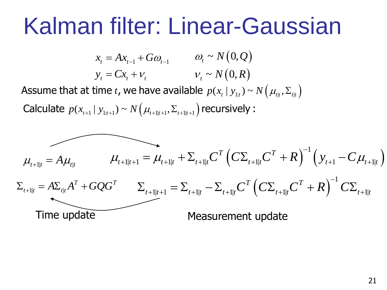# Kalman filter: Linear-Gaussian

 $x_{t} = Ax_{t-1} + G\omega_{t-1}$   $\omega_{t} \sim$ *<sup>t</sup> <sup>t</sup> <sup>t</sup> <sup>y</sup> Cx <sup>t</sup>* ~ $N\big(0,Q\big)$  $N\big(0,R\big)$ 

Assume that at time *t*, we have available  $p(x_t | y_{1:t}) \sim N(\mu_{t} | \sum_{t} y_{1:t})$ 

Calculate  $p(x_{t+1} | y_{1:t+1}) \sim N(\mu_{t+1|t+1}, \Sigma_{t+1|t+1})$  recursively :

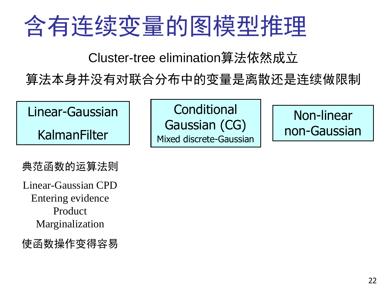# 含有连续变量的图模型推理

Cluster-tree elimination算法依然成立

算法本身并没有对联合分布中的变量是离散还是连续做限制

Linear-Gaussian

KalmanFilter

典范函数的运算法则

Linear-Gaussian CPD Entering evidence Product Marginalization

使函数操作变得容易

**Conditional** Gaussian (CG) Mixed discrete-Gaussian

Non-linear non-Gaussian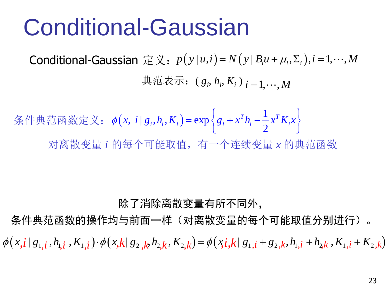# Conditional-Gaussian

Conditional-Gaussian 定义:  $p(y|u,i)$ =  $N(y|B_iu + \mu_i, \Sigma_i), i = 1, \cdots, M$ 典范表示:  $(g_i, h_i, K_i)_{i=1,\dots,M}$ 

 $\left(x,\; i\;|\; g^{\phantom{\dagger}}_{i},h^{\phantom{\dagger}}_{i},K^{\phantom{\dagger}}_{i}\right)$ 1 ,  $i | g_i, h_i, K_i$  = exp 2  $T$ <sup>*T*</sup>  $\bf{1}$   $T$ 条件典范函数定义:  $\phi(x, i | g_i, h_i, K_i) = \exp\left\{g_i + x^T h_i - \frac{1}{2}x^T K_i x\right\}$ 对离散变量 *i* 的每个可能取值,有一个连续变量 *x* 的典范函数

#### 除了消除离散变量有所不同外,

条件典范函数的操作均与前面一样(对离散变量的每个可能取值分别进行)。  $\phi(x, i \mid s_{1,i}, h_{1,i}, K_{1,i}) \cdot \phi(x, k \mid s_{2,k}, h_{2,k}, K_{2,k}) = \phi(x, i, k \mid s_{1,i} + s_{2,k}, h_{1,i} + h_{2,k}, K_{1,i} + K_{2,k})$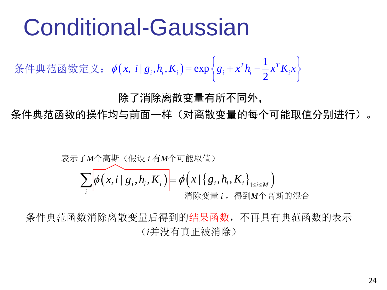# Conditional-Gaussian

 $\left(x,\; i\;|\; g^{}_i, h^{}_i, K^{}_i\right)$ 1 ,  $i | g_i, h_i, K_i) = \exp(i$ 2  $T$ <sup>*T*</sup> *T* 条件典范函数定义:  $\phi(x, i | g_i, h_i, K_i) = \exp\left\{g_i + x^T h_i - \frac{1}{2}x^T K_i x\right\}$ 

除了消除离散变量有所不同外,

条件典范函数的操作均与前面一样(对离散变量的每个可能取值分别进行)。

$$
\overrightarrow{\mathbf{z}} = \mathbf{A} \mathbf{A} + \mathbf{B} \mathbf{A} + \mathbf{B} \mathbf{B}
$$
\n
$$
\sum_{i} \phi(x, i \mid g_{i}, h_{i}, K_{i}) = \phi(x \mid \{g_{i}, h_{i}, K_{i}\}_{1 \leq i \leq M})
$$
\n
$$
\text{H} \mathbf{w} \otimes \mathbf{B} \quad i \,, \text{H} \mathbf{w} \wedge \mathbf{B} \text{H} \text{H} \text{H} \text{H} \text{H}
$$

条件典范函数消除离散变量后得到的结果函数,不再具有典范函数的表示 (*i*并没有真正被消除)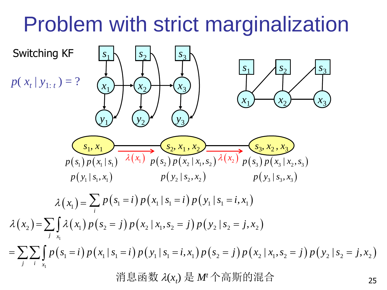# Problem with strict marginalization

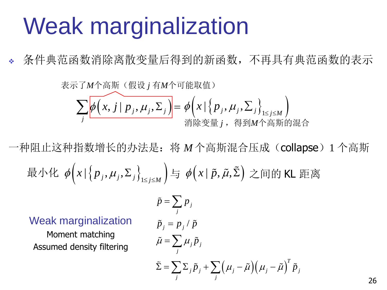# Weak marginalization

条件典范函数消除离散变量后得到的新函数,不再具有典范函数的表示

$$
\overrightarrow{z} = \sum_{j} \phi\left(x, j | p_{j}, \mu_{j}, \Sigma_{j}\right) = \phi\left(x | \left\{p_{j}, \mu_{j}, \Sigma_{j}\right\}_{1 \leq j \leq M}\right)
$$
\n
$$
\sum_{j} \phi\left(x, j | p_{j}, \mu_{j}, \Sigma_{j}\right) = \phi\left(x | \left\{p_{j}, \mu_{j}, \Sigma_{j}\right\}_{1 \leq j \leq M}\right)
$$
\n
$$
\text{Hé } \mathcal{F} \equiv j \,, \text{ H and H, H.}
$$

一种阻止这种指数增长的办法是:将 *M*个高斯混合压成(collapse)1 个高斯 最小化  $\phi\left(x \, | \, \left\{p_j, \mu_j, \Sigma_j\right\}_{1 \leq j \leq M}\right)$ 与  $\phi\bigl(x|\, \tilde{p}, \tilde{\mu}, \tilde{\Sigma}\bigr)$  之间的 KL 距离

Weak marginalization

Moment matching Assumed density filtering

$$
\tilde{p} = \sum_{j} p_{j}
$$
\n
$$
\tilde{p}_{j} = p_{j} / \tilde{p}
$$
\n
$$
\tilde{\mu} = \sum_{j} \mu_{j} \tilde{p}_{j}
$$
\n
$$
\tilde{\Sigma} = \sum_{j} \Sigma_{j} \tilde{p}_{j} + \sum_{j} (\mu_{j} - \tilde{\mu}) (\mu_{j} - \tilde{\mu})^{T} \tilde{p}_{j}
$$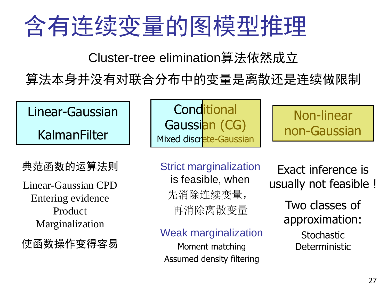# 含有连续变量的图模型推理

Cluster-tree elimination算法依然成立

算法本身并没有对联合分布中的变量是离散还是连续做限制

Linear-Gaussian

KalmanFilter

典范函数的运算法则

Linear-Gaussian CPD Entering evidence Product Marginalization

使函数操作变得容易

**Conditional** Gaussian (CG) Mixed discrete-Gaussian

Non-linear non-Gaussian

Strict marginalization is feasible, when 先消除连续变量, 再消除离散变量

#### Weak marginalization

Moment matching Assumed density filtering

Exact inference is usually not feasible !

> Two classes of approximation: **Stochastic**

**Deterministic**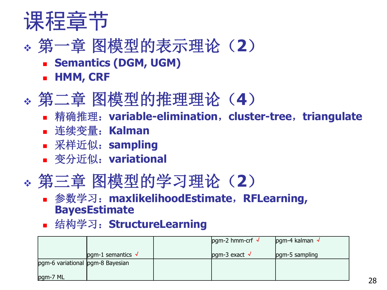

## 第一章 图模型的表示理论(**2**)

- **E** Semantics (DGM, UGM)
- **HMM, CRF**

## 第二章 图模型的推理理论(**4**)

- 精确推理:**variable-elimination**,**cluster-tree**,**triangulate**
- 连续变量:**Kalman**
- 采样近似:**sampling**
- 变分近似:**variational**

### 第三章 图模型的学习理论(**2**)

#### 参数学习:**maxlikelihoodEstimate**,**RFLearning, BayesEstimate**

结构学习:**StructureLearning**

|                                  |                           | $pgm-2$ hmm-crf $\sqrt{ }$ | $pgm-4$ kalman $\sqrt{ }$ |
|----------------------------------|---------------------------|----------------------------|---------------------------|
|                                  | pgm-1 semantics $\sqrt{}$ | pgm-3 exact $\sqrt{}$      | pgm-5 sampling            |
| pgm-6 variational pgm-8 Bayesian |                           |                            |                           |
| pgm-7 ML                         |                           |                            |                           |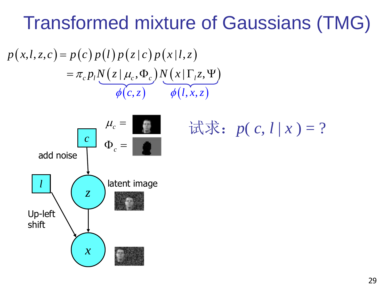## Transformed mixture of Gaussians (TMG)

$$
p(x,l,z,c) = p(c)p(l)p(z|c)p(x|l,z)
$$
  
=  $\pi_c p_l N(z|\mu_c, \Phi_c) N(x|\Gamma_l z, \Psi)$   
 $\phi(c,z)$   $\phi(l,x,z)$